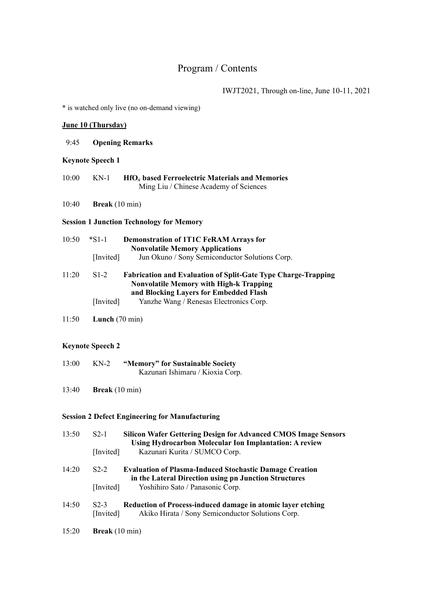# Program / Contents

IWJT2021, Through on-line, June 10-11, 2021

\* is watched only live (no on-demand viewing)

## **June 10 (Thursday)**

#### 9:45 **Opening Remarks**

#### **Keynote Speech 1**

- 10:00 KN-1 **HfO***x* **based Ferroelectric Materials and Memories** Ming Liu / Chinese Academy of Sciences
- 10:40 **Break** (10 min)

# **Session 1 Junction Technology for Memory**

| 10:50 | $*S1-1$           | <b>Demonstration of 1T1C FeRAM Arrays for</b>                        |
|-------|-------------------|----------------------------------------------------------------------|
|       |                   | <b>Nonvolatile Memory Applications</b>                               |
|       | [Invited]         | Jun Okuno / Sony Semiconductor Solutions Corp.                       |
| 11:20 | S <sub>1</sub> -2 | <b>Fabrication and Evaluation of Split-Gate Type Charge-Trapping</b> |

#### **Nonvolatile Memory with High-k Trapping and Blocking Layers for Embedded Flash**

[Invited] Yanzhe Wang / Renesas Electronics Corp.

### 11:50 **Lunch** (70 min)

## **Keynote Speech 2**

- 13:00 KN-2 **"Memory" for Sustainable Society** Kazunari Ishimaru / Kioxia Corp.
- 13:40 **Break** (10 min)

### **Session 2 Defect Engineering for Manufacturing**

| 13:50 | $S2-1$                          | <b>Silicon Wafer Gettering Design for Advanced CMOS Image Sensors</b><br><b>Using Hydrocarbon Molecular Ion Implantation: A review</b> |
|-------|---------------------------------|----------------------------------------------------------------------------------------------------------------------------------------|
|       | [Invited]                       | Kazunari Kurita / SUMCO Corp.                                                                                                          |
| 14:20 | $S2-2$                          | <b>Evaluation of Plasma-Induced Stochastic Damage Creation</b><br>in the Lateral Direction using pn Junction Structures                |
|       | [Invited]                       | Yoshihiro Sato / Panasonic Corp.                                                                                                       |
| 14:50 | $S2-3$<br>[Invited]             | Reduction of Process-induced damage in atomic layer etching<br>Akiko Hirata / Sony Semiconductor Solutions Corp.                       |
| 15:20 | <b>Break</b> $(10 \text{ min})$ |                                                                                                                                        |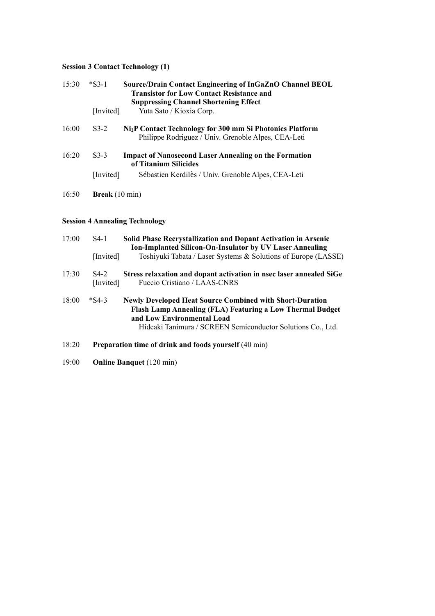# **Session 3 Contact Technology (1)**

| 15:30 | $*S3-1$             | Source/Drain Contact Engineering of InGaZnO Channel BEOL<br><b>Transistor for Low Contact Resistance and</b><br><b>Suppressing Channel Shortening Effect</b>                                                              |
|-------|---------------------|---------------------------------------------------------------------------------------------------------------------------------------------------------------------------------------------------------------------------|
|       | [Invited]           | Yuta Sato / Kioxia Corp.                                                                                                                                                                                                  |
| 16:00 | $S3-2$              | Ni <sub>2</sub> P Contact Technology for 300 mm Si Photonics Platform<br>Philippe Rodriguez / Univ. Grenoble Alpes, CEA-Leti                                                                                              |
| 16:20 | $S3-3$              | <b>Impact of Nanosecond Laser Annealing on the Formation</b><br>of Titanium Silicides                                                                                                                                     |
|       | [Invited]           | Sébastien Kerdilès / Univ. Grenoble Alpes, CEA-Leti                                                                                                                                                                       |
| 16:50 | Break (10 min)      |                                                                                                                                                                                                                           |
|       |                     | <b>Session 4 Annealing Technology</b>                                                                                                                                                                                     |
| 17:00 | $S4-1$              | <b>Solid Phase Recrystallization and Dopant Activation in Arsenic</b><br>Ion-Implanted Silicon-On-Insulator by UV Laser Annealing                                                                                         |
|       | [Invited]           | Toshiyuki Tabata / Laser Systems & Solutions of Europe (LASSE)                                                                                                                                                            |
| 17:30 | $S4-2$<br>[Invited] | Stress relaxation and dopant activation in nsec laser annealed SiGe<br>Fuccio Cristiano / LAAS-CNRS                                                                                                                       |
| 18:00 | $*S4-3$             | <b>Newly Developed Heat Source Combined with Short-Duration</b><br>Flash Lamp Annealing (FLA) Featuring a Low Thermal Budget<br>and Low Environmental Load<br>Hideaki Tanimura / SCREEN Semiconductor Solutions Co., Ltd. |
| 18:20 |                     | Preparation time of drink and foods yourself (40 min)                                                                                                                                                                     |

19:00 **Online Banquet** (120 min)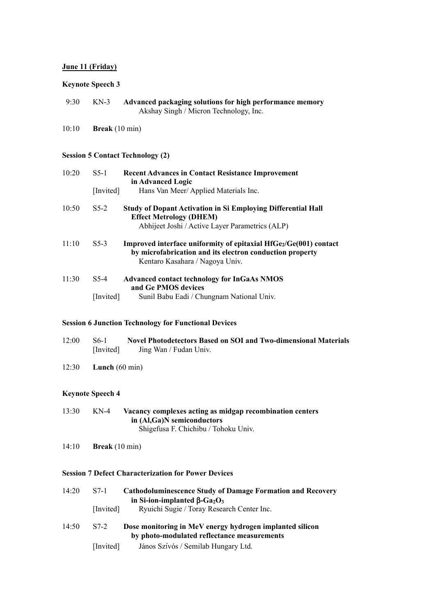# **June 11 (Friday)**

# **Keynote Speech 3**

| 9:30  | $KN-3$                          | Advanced packaging solutions for high performance memory<br>Akshay Singh / Micron Technology, Inc.                                                              |
|-------|---------------------------------|-----------------------------------------------------------------------------------------------------------------------------------------------------------------|
| 10:10 | <b>Break</b> $(10 \text{ min})$ |                                                                                                                                                                 |
|       |                                 | <b>Session 5 Contact Technology (2)</b>                                                                                                                         |
| 10:20 | $S5-1$                          | <b>Recent Advances in Contact Resistance Improvement</b>                                                                                                        |
|       | [Invited]                       | in Advanced Logic<br>Hans Van Meer/ Applied Materials Inc.                                                                                                      |
| 10:50 | $S5-2$                          | <b>Study of Dopant Activation in Si Employing Differential Hall</b><br><b>Effect Metrology (DHEM)</b><br>Abhijeet Joshi / Active Layer Parametrics (ALP)        |
| 11:10 | $S5-3$                          | Improved interface uniformity of epitaxial HfGe2/Ge(001) contact<br>by microfabrication and its electron conduction property<br>Kentaro Kasahara / Nagoya Univ. |
| 11:30 | $S5-4$                          | <b>Advanced contact technology for InGaAs NMOS</b>                                                                                                              |
|       | [Invited]                       | and Ge PMOS devices<br>Sunil Babu Eadi / Chungnam National Univ.                                                                                                |
|       |                                 | <b>Session 6 Junction Technology for Functional Devices</b>                                                                                                     |
| 12:00 | $S6-1$<br>[Invited]             | <b>Novel Photodetectors Based on SOI and Two-dimensional Materials</b><br>Jing Wan / Fudan Univ.                                                                |
| 12:30 | Lunch $(60 \text{ min})$        |                                                                                                                                                                 |
|       | <b>Keynote Speech 4</b>         |                                                                                                                                                                 |
| 13:30 | $KN-4$                          | Vacancy complexes acting as midgap recombination centers<br>in (Al,Ga)N semiconductors<br>Shigefusa F. Chichibu / Tohoku Univ.                                  |
| 14:10 | Break (10 min)                  |                                                                                                                                                                 |
|       |                                 | <b>Session 7 Defect Characterization for Power Devices</b>                                                                                                      |
| 14:20 | $S7-1$                          | <b>Cathodoluminescence Study of Damage Formation and Recovery</b><br>in Si-ion-implanted $\beta$ -Ga <sub>2</sub> O <sub>3</sub>                                |
|       | [Invited]                       | Ryuichi Sugie / Toray Research Center Inc.                                                                                                                      |
| 14:50 | $S7-2$                          | Dose monitoring in MeV energy hydrogen implanted silicon<br>by photo-modulated reflectance measurements                                                         |
|       | [Invited]                       | János Szívós / Semilab Hungary Ltd.                                                                                                                             |